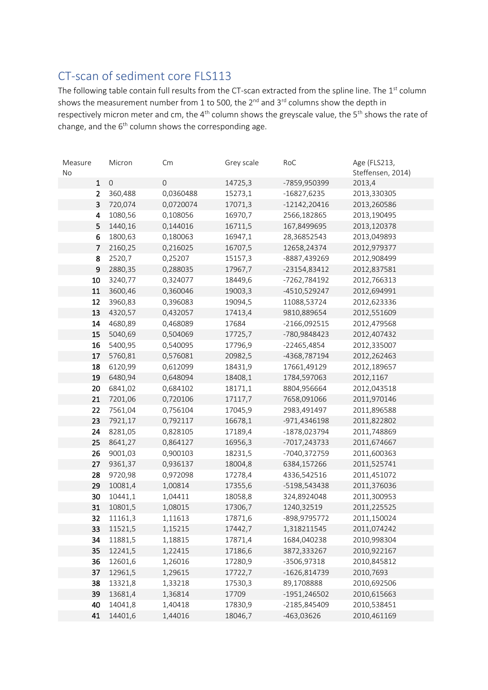## CT-scan of sediment core FLS113

The following table contain full results from the CT-scan extracted from the spline line. The 1<sup>st</sup> column shows the measurement number from 1 to 500, the  $2^{nd}$  and  $3^{rd}$  columns show the depth in respectively micron meter and cm, the 4<sup>th</sup> column shows the greyscale value, the 5<sup>th</sup> shows the rate of change, and the  $6<sup>th</sup>$  column shows the corresponding age.

| Measure        | Micron      | Cm          | Grey scale | RoC            | Age (FLS213,      |
|----------------|-------------|-------------|------------|----------------|-------------------|
| No             |             |             |            |                | Steffensen, 2014) |
| $\mathbf{1}$   | $\mathbf 0$ | $\mathbf 0$ | 14725,3    | -7859,950399   | 2013,4            |
| $\overline{2}$ | 360,488     | 0,0360488   | 15273,1    | $-16827,6235$  | 2013,330305       |
| 3              | 720,074     | 0,0720074   | 17071,3    | $-12142,20416$ | 2013,260586       |
| 4              | 1080,56     | 0,108056    | 16970,7    | 2566,182865    | 2013,190495       |
| 5              | 1440,16     | 0,144016    | 16711,5    | 167,8499695    | 2013,120378       |
| 6              | 1800,63     | 0,180063    | 16947,1    | 28,36852543    | 2013,049893       |
| 7              | 2160,25     | 0,216025    | 16707,5    | 12658,24374    | 2012,979377       |
| 8              | 2520,7      | 0,25207     | 15157,3    | -8887,439269   | 2012,908499       |
| 9              | 2880,35     | 0,288035    | 17967,7    | -23154,83412   | 2012,837581       |
| 10             | 3240,77     | 0,324077    | 18449,6    | -7262,784192   | 2012,766313       |
| 11             | 3600,46     | 0,360046    | 19003,3    | -4510,529247   | 2012,694991       |
| 12             | 3960,83     | 0,396083    | 19094,5    | 11088,53724    | 2012,623336       |
| 13             | 4320,57     | 0,432057    | 17413,4    | 9810,889654    | 2012,551609       |
| 14             | 4680,89     | 0,468089    | 17684      | $-2166,092515$ | 2012,479568       |
| 15             | 5040,69     | 0,504069    | 17725,7    | -780,9848423   | 2012,407432       |
| 16             | 5400,95     | 0,540095    | 17796,9    | -22465,4854    | 2012,335007       |
| 17             | 5760,81     | 0,576081    | 20982,5    | -4368,787194   | 2012,262463       |
| 18             | 6120,99     | 0,612099    | 18431,9    | 17661,49129    | 2012,189657       |
| 19             | 6480,94     | 0,648094    | 18408,1    | 1784,597063    | 2012,1167         |
| 20             | 6841,02     | 0,684102    | 18171,1    | 8804,956664    | 2012,043518       |
| 21             | 7201,06     | 0,720106    | 17117,7    | 7658,091066    | 2011,970146       |
| 22             | 7561,04     | 0,756104    | 17045,9    | 2983,491497    | 2011,896588       |
| 23             | 7921,17     | 0,792117    | 16678,1    | -971,4346198   | 2011,822802       |
| 24             | 8281,05     | 0,828105    | 17189,4    | -1878,023794   | 2011,748869       |
| 25             | 8641,27     | 0,864127    | 16956,3    | -7017,243733   | 2011,674667       |
| 26             | 9001,03     | 0,900103    | 18231,5    | -7040,372759   | 2011,600363       |
| 27             | 9361,37     | 0,936137    | 18004,8    | 6384,157266    | 2011,525741       |
| 28             | 9720,98     | 0,972098    | 17278,4    | 4336,542516    | 2011,451072       |
| 29             | 10081,4     | 1,00814     | 17355,6    | -5198,543438   | 2011,376036       |
| 30             | 10441,1     | 1,04411     | 18058,8    | 324,8924048    | 2011,300953       |
| 31             | 10801,5     | 1,08015     | 17306,7    | 1240,32519     | 2011,225525       |
| 32             | 11161,3     | 1,11613     | 17871,6    | -898,9795772   | 2011,150024       |
| 33             | 11521,5     | 1,15215     | 17442,7    | 1,318211545    | 2011,074242       |
| 34             | 11881,5     | 1,18815     | 17871,4    | 1684,040238    | 2010,998304       |
| 35             | 12241,5     | 1,22415     | 17186,6    | 3872,333267    | 2010,922167       |
| 36             | 12601,6     | 1,26016     | 17280,9    | -3506,97318    | 2010,845812       |
| 37             | 12961,5     | 1,29615     | 17722,7    | -1626,814739   | 2010,7693         |
| 38             | 13321,8     | 1,33218     | 17530,3    | 89,1708888     | 2010,692506       |
| 39             | 13681,4     | 1,36814     | 17709      | -1951,246502   | 2010,615663       |
| 40             | 14041,8     | 1,40418     | 17830,9    | -2185,845409   | 2010,538451       |
| 41             | 14401,6     | 1,44016     | 18046,7    | -463,03626     | 2010,461169       |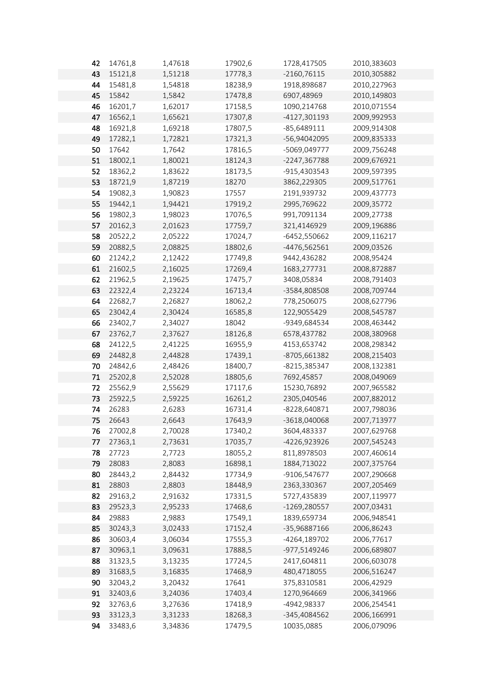| 42 | 14761,8 | 1,47618 | 17902,6 | 1728,417505   | 2010,383603 |
|----|---------|---------|---------|---------------|-------------|
| 43 | 15121,8 | 1,51218 | 17778,3 | $-2160,76115$ | 2010,305882 |
| 44 | 15481,8 | 1,54818 | 18238,9 | 1918,898687   | 2010,227963 |
| 45 | 15842   | 1,5842  | 17478,8 | 6907,48969    | 2010,149803 |
| 46 | 16201,7 | 1,62017 | 17158,5 | 1090,214768   | 2010,071554 |
| 47 | 16562,1 | 1,65621 | 17307,8 | -4127,301193  | 2009,992953 |
| 48 | 16921,8 | 1,69218 | 17807,5 | $-85,6489111$ | 2009,914308 |
| 49 | 17282,1 | 1,72821 | 17321,3 | -56,94042095  | 2009,835333 |
| 50 | 17642   | 1,7642  | 17816,5 | -5069,049777  | 2009,756248 |
| 51 | 18002,1 | 1,80021 | 18124,3 | -2247,367788  | 2009,676921 |
| 52 | 18362,2 | 1,83622 | 18173,5 | -915,4303543  | 2009,597395 |
| 53 | 18721,9 | 1,87219 | 18270   | 3862,229305   | 2009,517761 |
| 54 | 19082,3 | 1,90823 | 17557   | 2191,939732   | 2009,437773 |
| 55 | 19442,1 | 1,94421 | 17919,2 | 2995,769622   | 2009,35772  |
| 56 | 19802,3 | 1,98023 | 17076,5 | 991,7091134   | 2009,27738  |
| 57 | 20162,3 | 2,01623 | 17759,7 | 321,4146929   | 2009,196886 |
| 58 | 20522,2 | 2,05222 | 17024,7 | -6452,550662  | 2009,116217 |
| 59 | 20882,5 | 2,08825 | 18802,6 | -4476,562561  | 2009,03526  |
| 60 | 21242,2 | 2,12422 | 17749,8 | 9442,436282   | 2008,95424  |
| 61 | 21602,5 | 2,16025 | 17269,4 | 1683,277731   | 2008,872887 |
| 62 | 21962,5 | 2,19625 | 17475,7 | 3408,05834    | 2008,791403 |
| 63 | 22322,4 | 2,23224 | 16713,4 | -3584,808508  | 2008,709744 |
| 64 | 22682,7 | 2,26827 | 18062,2 | 778,2506075   | 2008,627796 |
| 65 | 23042,4 | 2,30424 | 16585,8 | 122,9055429   | 2008,545787 |
| 66 | 23402,7 | 2,34027 | 18042   | -9349,684534  | 2008,463442 |
| 67 | 23762,7 | 2,37627 | 18126,8 | 6578,437782   | 2008,380968 |
| 68 | 24122,5 | 2,41225 | 16955,9 | 4153,653742   | 2008,298342 |
| 69 | 24482,8 | 2,44828 | 17439,1 | -8705,661382  | 2008,215403 |
| 70 | 24842,6 | 2,48426 | 18400,7 | -8215,385347  | 2008,132381 |
| 71 | 25202,8 | 2,52028 | 18805,6 | 7692,45857    | 2008,049069 |
| 72 | 25562,9 | 2,55629 | 17117,6 | 15230,76892   | 2007,965582 |
| 73 | 25922,5 | 2,59225 | 16261,2 | 2305,040546   | 2007,882012 |
| 74 | 26283   | 2,6283  | 16731,4 | -8228,640871  | 2007,798036 |
| 75 | 26643   | 2,6643  | 17643,9 | -3618,040068  | 2007,713977 |
| 76 | 27002,8 | 2,70028 | 17340,2 | 3604,483337   | 2007,629768 |
| 77 | 27363,1 | 2,73631 | 17035,7 | -4226,923926  | 2007,545243 |
| 78 | 27723   | 2,7723  | 18055,2 | 811,8978503   | 2007,460614 |
| 79 | 28083   | 2,8083  | 16898,1 | 1884,713022   | 2007,375764 |
| 80 | 28443,2 | 2,84432 | 17734,9 | -9106,547677  | 2007,290668 |
| 81 | 28803   | 2,8803  | 18448,9 | 2363,330367   | 2007,205469 |
| 82 | 29163,2 | 2,91632 | 17331,5 | 5727,435839   | 2007,119977 |
| 83 | 29523,3 | 2,95233 | 17468,6 | -1269,280557  | 2007,03431  |
| 84 | 29883   | 2,9883  | 17549,1 | 1839,659734   | 2006,948541 |
| 85 | 30243,3 | 3,02433 | 17152,4 | -35,96887166  | 2006,86243  |
| 86 | 30603,4 | 3,06034 | 17555,3 | -4264,189702  | 2006,77617  |
| 87 | 30963,1 | 3,09631 | 17888,5 | -977,5149246  | 2006,689807 |
| 88 | 31323,5 | 3,13235 | 17724,5 | 2417,604811   | 2006,603078 |
| 89 | 31683,5 | 3,16835 | 17468,9 | 480,4718055   | 2006,516247 |
| 90 | 32043,2 | 3,20432 | 17641   | 375,8310581   | 2006,42929  |
| 91 | 32403,6 | 3,24036 | 17403,4 | 1270,964669   | 2006,341966 |
| 92 | 32763,6 | 3,27636 | 17418,9 | -4942,98337   | 2006,254541 |
| 93 | 33123,3 | 3,31233 | 18268,3 | -345,4084562  | 2006,166991 |
| 94 | 33483,6 | 3,34836 | 17479,5 | 10035,0885    | 2006,079096 |
|    |         |         |         |               |             |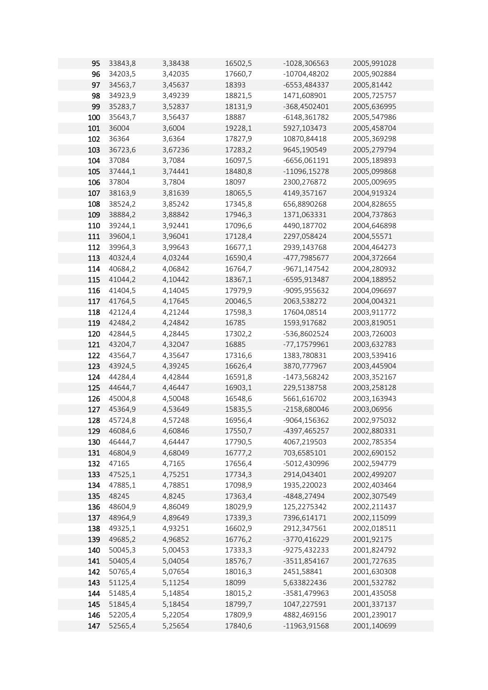| 95  | 33843,8 | 3,38438            | 16502,5 | -1028,306563    | 2005,991028 |
|-----|---------|--------------------|---------|-----------------|-------------|
| 96  | 34203,5 | 3,42035            | 17660,7 | $-10704,48202$  | 2005,902884 |
| 97  | 34563,7 | 3,45637            | 18393   | -6553,484337    | 2005,81442  |
| 98  | 34923,9 | 3,49239            | 18821,5 | 1471,608901     | 2005,725757 |
| 99  | 35283,7 | 3,52837            | 18131,9 | -368,4502401    | 2005,636995 |
| 100 | 35643,7 | 3,56437            | 18887   | $-6148,361782$  | 2005,547986 |
| 101 | 36004   | 3,6004             | 19228,1 | 5927,103473     | 2005,458704 |
| 102 | 36364   | 3,6364             | 17827,9 | 10870,84418     | 2005,369298 |
| 103 |         |                    |         | 9645,190549     |             |
|     | 36723,6 | 3,67236            | 17283,2 |                 | 2005,279794 |
| 104 | 37084   | 3,7084             | 16097,5 | -6656,061191    | 2005,189893 |
| 105 | 37444,1 | 3,74441            | 18480,8 | $-11096, 15278$ | 2005,099868 |
| 106 | 37804   | 3,7804             | 18097   | 2300,276872     | 2005,009695 |
| 107 | 38163,9 | 3,81639            | 18065,5 | 4149,357167     | 2004,919324 |
| 108 | 38524,2 | 3,85242            | 17345,8 | 656,8890268     | 2004,828655 |
| 109 | 38884,2 | 3,88842            | 17946,3 | 1371,063331     | 2004,737863 |
| 110 | 39244,1 | 3,92441            | 17096,6 | 4490,187702     | 2004,646898 |
| 111 | 39604,1 | 3,96041            | 17128,4 | 2297,058424     | 2004,55571  |
| 112 | 39964,3 | 3,99643            | 16677,1 | 2939,143768     | 2004,464273 |
| 113 | 40324,4 | 4,03244            | 16590,4 | -477,7985677    | 2004,372664 |
| 114 | 40684,2 | 4,06842            | 16764,7 | -9671,147542    | 2004,280932 |
| 115 | 41044,2 | 4,10442            | 18367,1 | -6595,913487    | 2004,188952 |
| 116 | 41404,5 | 4,14045            | 17979,9 | -9095,955632    | 2004,096697 |
| 117 | 41764,5 | 4,17645            | 20046,5 | 2063,538272     | 2004,004321 |
| 118 | 42124,4 | 4,21244            | 17598,3 | 17604,08514     | 2003,911772 |
| 119 | 42484,2 | 4,24842            | 16785   | 1593,917682     | 2003,819051 |
| 120 | 42844,5 | 4,28445            | 17302,2 | -536,8602524    | 2003,726003 |
| 121 | 43204,7 | 4,32047            | 16885   | -77,17579961    | 2003,632783 |
| 122 | 43564,7 | 4,35647            | 17316,6 | 1383,780831     | 2003,539416 |
| 123 | 43924,5 | 4,39245            | 16626,4 | 3870,777967     | 2003,445904 |
| 124 | 44284,4 | 4,42844            | 16591,8 | -1473,568242    | 2003,352167 |
| 125 | 44644,7 | 4,46447            | 16903,1 | 229,5138758     | 2003,258128 |
| 126 | 45004,8 | 4,50048            | 16548,6 | 5661,616702     | 2003,163943 |
| 127 | 45364,9 | 4,53649            | 15835,5 | -2158,680046    | 2003,06956  |
| 128 | 45724,8 | 4,57248            | 16956,4 | -9064,156362    | 2002,975032 |
| 129 | 46084,6 | 4,60846            | 17550,7 | -4397,465257    | 2002,880331 |
| 130 | 46444,7 | 4,64447            | 17790,5 | 4067,219503     | 2002,785354 |
| 131 | 46804,9 | 4,68049            | 16777,2 | 703,6585101     | 2002,690152 |
| 132 | 47165   | 4,7165             | 17656,4 | -5012,430996    | 2002,594779 |
| 133 | 47525,1 | 4,75251            | 17734,3 | 2914,043401     | 2002,499207 |
| 134 | 47885,1 | 4,78851            | 17098,9 | 1935,220023     | 2002,403464 |
| 135 | 48245   | 4,8245             | 17363,4 | -4848,27494     | 2002,307549 |
| 136 | 48604,9 | 4,86049            | 18029,9 | 125,2275342     | 2002,211437 |
| 137 | 48964,9 |                    | 17339,3 | 7396,614171     | 2002,115099 |
| 138 | 49325,1 | 4,89649<br>4,93251 | 16602,9 | 2912,347561     | 2002,018511 |
|     |         |                    |         |                 |             |
| 139 | 49685,2 | 4,96852            | 16776,2 | -3770,416229    | 2001,92175  |
| 140 | 50045,3 | 5,00453            | 17333,3 | -9275,432233    | 2001,824792 |
| 141 | 50405,4 | 5,04054            | 18576,7 | -3511,854167    | 2001,727635 |
| 142 | 50765,4 | 5,07654            | 18016,3 | 2451,58841      | 2001,630308 |
| 143 | 51125,4 | 5,11254            | 18099   | 5,633822436     | 2001,532782 |
| 144 | 51485,4 | 5,14854            | 18015,2 | -3581,479963    | 2001,435058 |
| 145 | 51845,4 | 5,18454            | 18799,7 | 1047,227591     | 2001,337137 |
| 146 | 52205,4 | 5,22054            | 17809,9 | 4882,469156     | 2001,239017 |
| 147 | 52565,4 | 5,25654            | 17840,6 | -11963,91568    | 2001,140699 |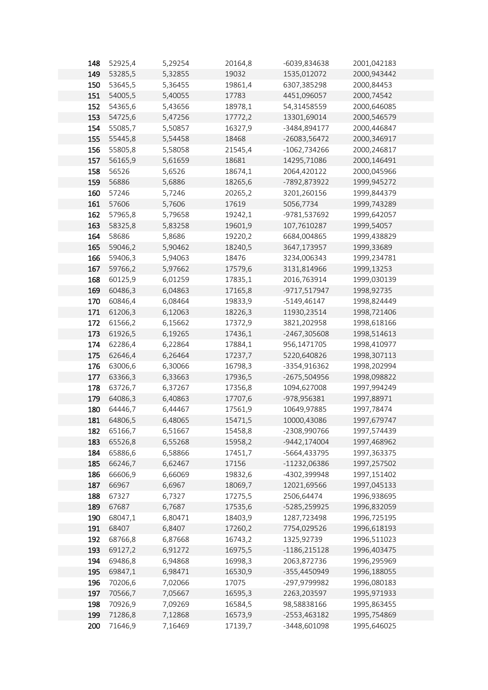| 148 | 52925,4 | 5,29254 | 20164,8 | -6039,834638    | 2001,042183  |
|-----|---------|---------|---------|-----------------|--------------|
| 149 | 53285,5 | 5,32855 | 19032   | 1535,012072     | 2000,943442  |
| 150 | 53645,5 | 5,36455 | 19861,4 | 6307,385298     | 2000,84453   |
| 151 | 54005,5 | 5,40055 | 17783   | 4451,096057     | 2000,74542   |
| 152 | 54365,6 | 5,43656 | 18978,1 | 54,31458559     | 2000,646085  |
| 153 | 54725,6 | 5,47256 | 17772,2 | 13301,69014     | 2000,546579  |
| 154 | 55085,7 | 5,50857 | 16327,9 | -3484,894177    | 2000,446847  |
| 155 | 55445,8 | 5,54458 | 18468   | -26083,56472    | 2000,346917  |
| 156 | 55805,8 | 5,58058 | 21545,4 | -1062,734266    | 2000,246817  |
| 157 | 56165,9 | 5,61659 | 18681   | 14295,71086     | 2000,146491  |
| 158 | 56526   | 5,6526  | 18674,1 | 2064,420122     | 2000,045966  |
| 159 | 56886   | 5,6886  | 18265,6 | -7892,873922    | 1999,945272  |
| 160 | 57246   | 5,7246  | 20265,2 | 3201,260156     | 1999,844379  |
| 161 | 57606   | 5,7606  | 17619   | 5056,7734       | 1999,743289  |
| 162 |         |         |         |                 |              |
|     | 57965,8 | 5,79658 | 19242,1 | -9781,537692    | 1999,642057  |
| 163 | 58325,8 | 5,83258 | 19601,9 | 107,7610287     | 1999,54057   |
| 164 | 58686   | 5,8686  | 19220,2 | 6684,004865     | 1999,438829  |
| 165 | 59046,2 | 5,90462 | 18240,5 | 3647,173957     | 1999,33689   |
| 166 | 59406,3 | 5,94063 | 18476   | 3234,006343     | 1999,234781  |
| 167 | 59766,2 | 5,97662 | 17579,6 | 3131,814966     | 1999,13253   |
| 168 | 60125,9 | 6,01259 | 17835,1 | 2016,763914     | 1999,030139  |
| 169 | 60486,3 | 6,04863 | 17165,8 | -9717,517947    | 1998,92735   |
| 170 | 60846,4 | 6,08464 | 19833,9 | -5149,46147     | 1998,824449  |
| 171 | 61206,3 | 6,12063 | 18226,3 | 11930,23514     | 1998,721406  |
| 172 | 61566,2 | 6,15662 | 17372,9 | 3821,202958     | 1998,618166  |
| 173 | 61926,5 | 6,19265 | 17436,1 | -2467,305608    | 1998,514613  |
| 174 | 62286,4 | 6,22864 | 17884,1 | 956,1471705     | 1998,410977  |
| 175 | 62646,4 | 6,26464 | 17237,7 | 5220,640826     | 1998,307113  |
| 176 | 63006,6 | 6,30066 | 16798,3 | -3354,916362    | 1998,202994  |
| 177 | 63366,3 | 6,33663 | 17936,5 | -2675,504956    | 1998,098822  |
| 178 | 63726,7 | 6,37267 | 17356,8 | 1094,627008     | 1997,994249  |
| 179 | 64086,3 | 6,40863 | 17707,6 | -978,956381     | 1997,88971   |
| 180 | 64446,7 | 6,44467 | 17561,9 | 10649,97885     | 1997,78474   |
| 181 | 64806,5 | 6,48065 | 15471,5 | 10000,43086     | 1997,679747  |
| 182 | 65166,7 | 6,51667 | 15458,8 | -2308,990766    | 1997,574439  |
| 183 | 65526,8 | 6,55268 | 15958,2 | -9442,174004    | 1997,468962  |
| 184 | 65886,6 | 6,58866 | 17451,7 | -5664,433795    | 1997, 363375 |
| 185 | 66246,7 | 6,62467 | 17156   | -11232,06386    | 1997,257502  |
| 186 | 66606,9 | 6,66069 | 19832,6 | -4302,399948    | 1997,151402  |
| 187 | 66967   | 6,6967  | 18069,7 | 12021,69566     | 1997,045133  |
| 188 | 67327   | 6,7327  | 17275,5 | 2506,64474      | 1996,938695  |
| 189 | 67687   | 6,7687  | 17535,6 | -5285,259925    | 1996,832059  |
| 190 | 68047,1 | 6,80471 | 18403,9 | 1287,723498     | 1996,725195  |
| 191 | 68407   | 6,8407  | 17260,2 | 7754,029526     | 1996,618193  |
| 192 | 68766,8 | 6,87668 | 16743,2 | 1325,92739      | 1996,511023  |
| 193 | 69127,2 | 6,91272 | 16975,5 | $-1186, 215128$ | 1996,403475  |
| 194 | 69486,8 | 6,94868 | 16998,3 | 2063,872736     | 1996,295969  |
| 195 | 69847,1 | 6,98471 | 16530,9 | -355,4450949    | 1996,188055  |
| 196 | 70206,6 | 7,02066 | 17075   | -297,9799982    | 1996,080183  |
| 197 | 70566,7 | 7,05667 | 16595,3 | 2263,203597     | 1995,971933  |
| 198 | 70926,9 | 7,09269 | 16584,5 | 98,58838166     | 1995,863455  |
| 199 | 71286,8 | 7,12868 | 16573,9 | -2553,463182    | 1995,754869  |
| 200 | 71646,9 | 7,16469 | 17139,7 | -3448,601098    | 1995,646025  |
|     |         |         |         |                 |              |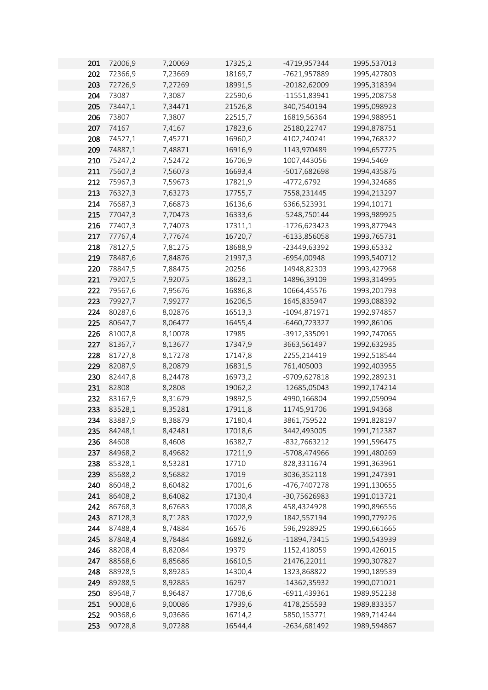| 201 | 72006,9 | 7,20069            | 17325,2          | -4719,957344   | 1995,537013 |
|-----|---------|--------------------|------------------|----------------|-------------|
| 202 | 72366,9 | 7,23669            | 18169,7          | -7621,957889   | 1995,427803 |
| 203 | 72726,9 | 7,27269            | 18991,5          | -20182,62009   | 1995,318394 |
| 204 | 73087   | 7,3087             | 22590,6          | $-11551,83941$ | 1995,208758 |
| 205 | 73447,1 | 7,34471            | 21526,8          | 340,7540194    | 1995,098923 |
| 206 | 73807   | 7,3807             | 22515,7          | 16819,56364    | 1994,988951 |
| 207 | 74167   | 7,4167             | 17823,6          | 25180,22747    | 1994,878751 |
| 208 | 74527,1 | 7,45271            | 16960,2          | 4102,240241    | 1994,768322 |
| 209 | 74887,1 | 7,48871            | 16916,9          | 1143,970489    | 1994,657725 |
| 210 | 75247,2 | 7,52472            | 16706,9          | 1007,443056    | 1994,5469   |
| 211 | 75607,3 | 7,56073            | 16693,4          | -5017,682698   | 1994,435876 |
| 212 | 75967,3 | 7,59673            | 17821,9          | -4772,6792     | 1994,324686 |
| 213 | 76327,3 | 7,63273            | 17755,7          | 7558,231445    | 1994,213297 |
| 214 | 76687,3 | 7,66873            | 16136,6          | 6366,523931    | 1994,10171  |
| 215 | 77047,3 | 7,70473            | 16333,6          | -5248,750144   | 1993,989925 |
| 216 | 77407,3 | 7,74073            | 17311,1          | $-1726,623423$ | 1993,877943 |
| 217 | 77767,4 | 7,77674            | 16720,7          | -6133,856058   | 1993,765731 |
| 218 | 78127,5 | 7,81275            | 18688,9          | -23449,63392   | 1993,65332  |
| 219 | 78487,6 | 7,84876            | 21997,3          | -6954,00948    | 1993,540712 |
| 220 | 78847,5 | 7,88475            | 20256            | 14948,82303    | 1993,427968 |
| 221 | 79207,5 | 7,92075            | 18623,1          | 14896,39109    | 1993,314995 |
| 222 | 79567,6 | 7,95676            | 16886,8          | 10664,45576    | 1993,201793 |
| 223 | 79927,7 | 7,99277            | 16206,5          | 1645,835947    | 1993,088392 |
| 224 | 80287,6 | 8,02876            | 16513,3          | -1094,871971   | 1992,974857 |
| 225 | 80647,7 | 8,06477            | 16455,4          | -6460,723327   | 1992,86106  |
| 226 | 81007,8 | 8,10078            | 17985            | -3912,335091   | 1992,747065 |
| 227 | 81367,7 | 8,13677            | 17347,9          | 3663,561497    | 1992,632935 |
| 228 | 81727,8 | 8,17278            | 17147,8          | 2255,214419    | 1992,518544 |
| 229 | 82087,9 | 8,20879            | 16831,5          | 761,405003     | 1992,403955 |
| 230 | 82447,8 | 8,24478            | 16973,2          | -9709,627818   | 1992,289231 |
| 231 | 82808   | 8,2808             | 19062,2          | -12685,05043   | 1992,174214 |
| 232 | 83167,9 | 8,31679            | 19892,5          | 4990,166804    | 1992,059094 |
| 233 | 83528,1 | 8,35281            | 17911,8          | 11745,91706    | 1991,94368  |
| 234 | 83887,9 | 8,38879            | 17180,4          | 3861,759522    | 1991,828197 |
| 235 | 84248,1 | 8,42481            | 17018,6          | 3442,493005    | 1991,712387 |
| 236 | 84608   | 8,4608             | 16382,7          | -832,7663212   | 1991,596475 |
| 237 | 84968,2 | 8,49682            | 17211,9          | -5708,474966   | 1991,480269 |
| 238 | 85328,1 | 8,53281            | 17710            | 828,3311674    | 1991,363961 |
| 239 | 85688,2 | 8,56882            | 17019            | 3036,352118    | 1991,247391 |
| 240 | 86048,2 | 8,60482            | 17001,6          | -476,7407278   | 1991,130655 |
| 241 | 86408,2 | 8,64082            | 17130,4          | -30,75626983   | 1991,013721 |
| 242 | 86768,3 | 8,67683            | 17008,8          | 458,4324928    | 1990,896556 |
| 243 | 87128,3 | 8,71283            | 17022,9          | 1842,557194    | 1990,779226 |
| 244 | 87488,4 | 8,74884            | 16576            | 596,2928925    | 1990,661665 |
| 245 | 87848,4 | 8,78484            | 16882,6          | -11894,73415   | 1990,543939 |
| 246 | 88208,4 | 8,82084            | 19379            | 1152,418059    | 1990,426015 |
| 247 | 88568,6 | 8,85686            | 16610,5          | 21476,22011    | 1990,307827 |
| 248 | 88928,5 | 8,89285            | 14300,4          | 1323,868822    | 1990,189539 |
| 249 | 89288,5 |                    |                  | -14362,35932   | 1990,071021 |
| 250 | 89648,7 | 8,92885<br>8,96487 | 16297<br>17708,6 | -6911,439361   | 1989,952238 |
| 251 | 90008,6 |                    |                  |                |             |
|     |         | 9,00086            | 17939,6          | 4178,255593    | 1989,833357 |
| 252 | 90368,6 | 9,03686            | 16714,2          | 5850,153771    | 1989,714244 |
| 253 | 90728,8 | 9,07288            | 16544,4          | -2634,681492   | 1989,594867 |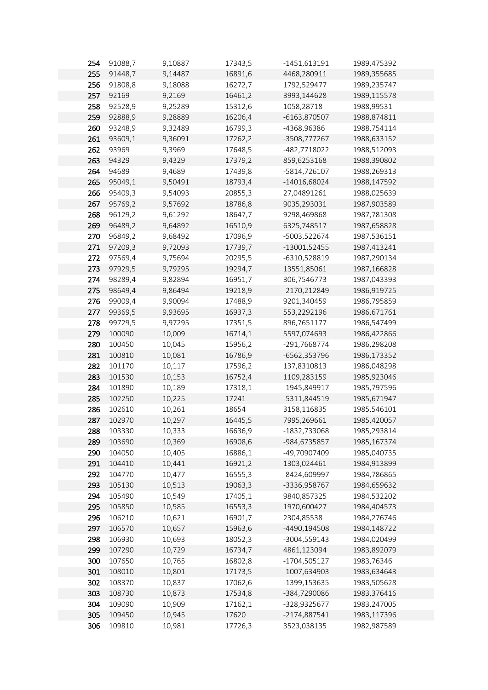| 254 | 91088,7 | 9,10887 | 17343,5 | $-1451,613191$ | 1989,475392 |
|-----|---------|---------|---------|----------------|-------------|
| 255 | 91448,7 | 9,14487 | 16891,6 | 4468,280911    | 1989,355685 |
| 256 | 91808,8 | 9,18088 | 16272,7 | 1792,529477    | 1989,235747 |
| 257 | 92169   | 9,2169  | 16461,2 | 3993,144628    | 1989,115578 |
| 258 | 92528,9 | 9,25289 | 15312,6 | 1058,28718     | 1988,99531  |
| 259 | 92888,9 | 9,28889 | 16206,4 | -6163,870507   | 1988,874811 |
| 260 | 93248,9 | 9,32489 | 16799,3 | -4368,96386    | 1988,754114 |
| 261 | 93609,1 | 9,36091 | 17262,2 | -3508,777267   | 1988,633152 |
| 262 | 93969   | 9,3969  | 17648,5 | -482,7718022   | 1988,512093 |
| 263 | 94329   | 9,4329  | 17379,2 | 859,6253168    | 1988,390802 |
| 264 | 94689   | 9,4689  | 17439,8 | -5814,726107   | 1988,269313 |
| 265 | 95049,1 | 9,50491 | 18793,4 | -14016,68024   | 1988,147592 |
| 266 | 95409,3 | 9,54093 | 20855,3 | 27,04891261    | 1988,025639 |
| 267 | 95769,2 | 9,57692 | 18786,8 | 9035,293031    | 1987,903589 |
| 268 | 96129,2 | 9,61292 | 18647,7 | 9298,469868    | 1987,781308 |
| 269 | 96489,2 | 9,64892 | 16510,9 | 6325,748517    | 1987,658828 |
| 270 | 96849,2 | 9,68492 | 17096,9 | -5003,522674   | 1987,536151 |
| 271 | 97209,3 |         |         |                |             |
|     |         | 9,72093 | 17739,7 | -13001,52455   | 1987,413241 |
| 272 | 97569,4 | 9,75694 | 20295,5 | -6310,528819   | 1987,290134 |
| 273 | 97929,5 | 9,79295 | 19294,7 | 13551,85061    | 1987,166828 |
| 274 | 98289,4 | 9,82894 | 16951,7 | 306,7546773    | 1987,043393 |
| 275 | 98649,4 | 9,86494 | 19218,9 | -2170,212849   | 1986,919725 |
| 276 | 99009,4 | 9,90094 | 17488,9 | 9201,340459    | 1986,795859 |
| 277 | 99369,5 | 9,93695 | 16937,3 | 553,2292196    | 1986,671761 |
| 278 | 99729,5 | 9,97295 | 17351,5 | 896,7651177    | 1986,547499 |
| 279 | 100090  | 10,009  | 16714,1 | 5597,074693    | 1986,422866 |
| 280 | 100450  | 10,045  | 15956,2 | -291,7668774   | 1986,298208 |
| 281 | 100810  | 10,081  | 16786,9 | -6562,353796   | 1986,173352 |
| 282 | 101170  | 10,117  | 17596,2 | 137,8310813    | 1986,048298 |
| 283 | 101530  | 10,153  | 16752,4 | 1109,283159    | 1985,923046 |
| 284 | 101890  | 10,189  | 17318,1 | -1945,849917   | 1985,797596 |
| 285 | 102250  | 10,225  | 17241   | -5311,844519   | 1985,671947 |
| 286 | 102610  | 10,261  | 18654   | 3158,116835    | 1985,546101 |
| 287 | 102970  | 10,297  | 16445,5 | 7995,269661    | 1985,420057 |
| 288 | 103330  | 10,333  | 16636,9 | -1832,733068   | 1985,293814 |
| 289 | 103690  | 10,369  | 16908,6 | -984,6735857   | 1985,167374 |
| 290 | 104050  | 10,405  | 16886,1 | -49,70907409   | 1985,040735 |
| 291 | 104410  | 10,441  | 16921,2 | 1303,024461    | 1984,913899 |
| 292 | 104770  | 10,477  | 16555,3 | -8424,609997   | 1984,786865 |
| 293 | 105130  | 10,513  | 19063,3 | -3336,958767   | 1984,659632 |
| 294 | 105490  | 10,549  | 17405,1 | 9840,857325    | 1984,532202 |
| 295 | 105850  | 10,585  | 16553,3 | 1970,600427    | 1984,404573 |
| 296 | 106210  | 10,621  | 16901,7 | 2304,85538     | 1984,276746 |
| 297 | 106570  | 10,657  | 15963,6 | -4490,194508   | 1984,148722 |
| 298 | 106930  | 10,693  | 18052,3 | -3004,559143   | 1984,020499 |
| 299 | 107290  | 10,729  | 16734,7 | 4861,123094    | 1983,892079 |
| 300 | 107650  | 10,765  | 16802,8 | $-1704,505127$ | 1983,76346  |
| 301 | 108010  | 10,801  | 17173,5 | $-1007,634903$ | 1983,634643 |
| 302 | 108370  | 10,837  | 17062,6 | -1399,153635   | 1983,505628 |
| 303 | 108730  | 10,873  | 17534,8 | -384,7290086   | 1983,376416 |
| 304 | 109090  | 10,909  | 17162,1 | -328,9325677   | 1983,247005 |
| 305 | 109450  | 10,945  | 17620   | $-2174,887541$ | 1983,117396 |
| 306 | 109810  | 10,981  | 17726,3 | 3523,038135    | 1982,987589 |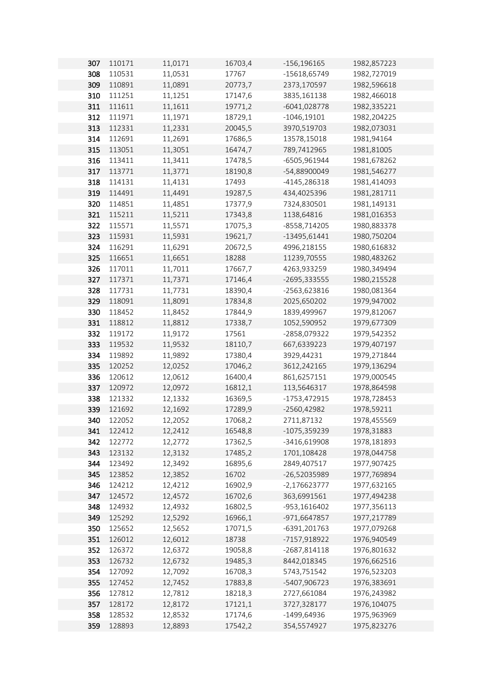| 307 | 110171 | 11,0171 | 16703,4 | $-156, 196165$ | 1982,857223 |
|-----|--------|---------|---------|----------------|-------------|
| 308 | 110531 | 11,0531 | 17767   | -15618,65749   | 1982,727019 |
| 309 | 110891 | 11,0891 | 20773,7 | 2373,170597    | 1982,596618 |
| 310 | 111251 | 11,1251 | 17147,6 | 3835,161138    | 1982,466018 |
| 311 | 111611 | 11,1611 | 19771,2 | -6041,028778   | 1982,335221 |
| 312 | 111971 | 11,1971 | 18729,1 | $-1046,19101$  | 1982,204225 |
| 313 | 112331 | 11,2331 | 20045,5 | 3970,519703    | 1982,073031 |
| 314 | 112691 | 11,2691 | 17686,5 | 13578,15018    | 1981,94164  |
| 315 | 113051 | 11,3051 | 16474,7 | 789,7412965    | 1981,81005  |
| 316 | 113411 | 11,3411 | 17478,5 | -6505,961944   | 1981,678262 |
| 317 | 113771 | 11,3771 | 18190,8 | -54,88900049   | 1981,546277 |
| 318 | 114131 | 11,4131 | 17493   | -4145,286318   | 1981,414093 |
| 319 | 114491 | 11,4491 | 19287,5 | 434,4025396    | 1981,281711 |
| 320 | 114851 | 11,4851 | 17377,9 | 7324,830501    | 1981,149131 |
|     |        |         |         |                |             |
| 321 | 115211 | 11,5211 | 17343,8 | 1138,64816     | 1981,016353 |
| 322 | 115571 | 11,5571 | 17075,3 | -8558,714205   | 1980,883378 |
| 323 | 115931 | 11,5931 | 19621,7 | -13495,61441   | 1980,750204 |
| 324 | 116291 | 11,6291 | 20672,5 | 4996,218155    | 1980,616832 |
| 325 | 116651 | 11,6651 | 18288   | 11239,70555    | 1980,483262 |
| 326 | 117011 | 11,7011 | 17667,7 | 4263,933259    | 1980,349494 |
| 327 | 117371 | 11,7371 | 17146,4 | -2695,333555   | 1980,215528 |
| 328 | 117731 | 11,7731 | 18390,4 | -2563,623816   | 1980,081364 |
| 329 | 118091 | 11,8091 | 17834,8 | 2025,650202    | 1979,947002 |
| 330 | 118452 | 11,8452 | 17844,9 | 1839,499967    | 1979,812067 |
| 331 | 118812 | 11,8812 | 17338,7 | 1052,590952    | 1979,677309 |
| 332 | 119172 | 11,9172 | 17561   | -2858,079322   | 1979,542352 |
| 333 | 119532 | 11,9532 | 18110,7 | 667,6339223    | 1979,407197 |
| 334 | 119892 | 11,9892 | 17380,4 | 3929,44231     | 1979,271844 |
| 335 | 120252 | 12,0252 | 17046,2 | 3612,242165    | 1979,136294 |
| 336 | 120612 | 12,0612 | 16400,4 | 861,6257151    | 1979,000545 |
| 337 | 120972 | 12,0972 | 16812,1 | 113,5646317    | 1978,864598 |
| 338 | 121332 | 12,1332 | 16369,5 | -1753,472915   | 1978,728453 |
| 339 | 121692 | 12,1692 | 17289,9 | $-2560,42982$  | 1978,59211  |
| 340 | 122052 | 12,2052 | 17068,2 | 2711,87132     | 1978,455569 |
| 341 | 122412 | 12,2412 | 16548,8 | -1075,359239   | 1978,31883  |
| 342 | 122772 | 12,2772 | 17362,5 | -3416,619908   | 1978,181893 |
| 343 | 123132 | 12,3132 | 17485,2 | 1701,108428    | 1978,044758 |
| 344 | 123492 | 12,3492 | 16895,6 | 2849,407517    | 1977,907425 |
| 345 | 123852 | 12,3852 | 16702   | -26,52035989   | 1977,769894 |
| 346 | 124212 | 12,4212 | 16902,9 | $-2,176623777$ | 1977,632165 |
| 347 | 124572 | 12,4572 | 16702,6 | 363,6991561    | 1977,494238 |
| 348 | 124932 | 12,4932 | 16802,5 | -953,1616402   | 1977,356113 |
| 349 | 125292 | 12,5292 | 16966,1 | -971,6647857   | 1977,217789 |
| 350 | 125652 | 12,5652 | 17071,5 | -6391,201763   | 1977,079268 |
| 351 | 126012 | 12,6012 | 18738   | -7157,918922   | 1976,940549 |
| 352 | 126372 | 12,6372 | 19058,8 | -2687,814118   | 1976,801632 |
| 353 | 126732 | 12,6732 | 19485,3 | 8442,018345    | 1976,662516 |
| 354 | 127092 | 12,7092 | 16708,3 | 5743,751542    | 1976,523203 |
| 355 | 127452 | 12,7452 | 17883,8 | -5407,906723   | 1976,383691 |
| 356 | 127812 | 12,7812 | 18218,3 | 2727,661084    | 1976,243982 |
| 357 | 128172 | 12,8172 | 17121,1 | 3727,328177    | 1976,104075 |
| 358 | 128532 | 12,8532 | 17174,6 | -1499,64936    | 1975,963969 |
| 359 | 128893 | 12,8893 | 17542,2 | 354,5574927    | 1975,823276 |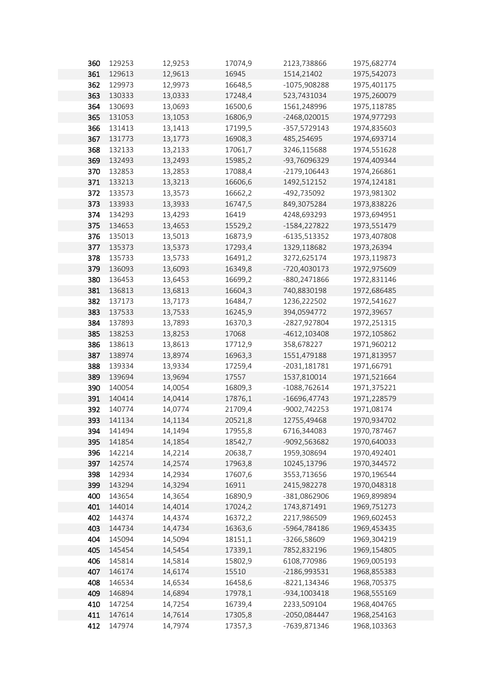| 360        | 129253           | 12,9253            | 17074,9            | 2123,738866                  | 1975,682774                |
|------------|------------------|--------------------|--------------------|------------------------------|----------------------------|
| 361        | 129613           | 12,9613            | 16945              | 1514,21402                   | 1975,542073                |
| 362        | 129973           | 12,9973            | 16648,5            | -1075,908288                 | 1975,401175                |
| 363        | 130333           | 13,0333            | 17248,4            | 523,7431034                  | 1975,260079                |
| 364        | 130693           | 13,0693            | 16500,6            | 1561,248996                  | 1975,118785                |
| 365        | 131053           | 13,1053            | 16806,9            | -2468,020015                 | 1974,977293                |
| 366        | 131413           | 13,1413            | 17199,5            | -357,5729143                 | 1974,835603                |
| 367        | 131773           | 13,1773            | 16908,3            | 485,254695                   | 1974,693714                |
| 368        | 132133           | 13,2133            | 17061,7            | 3246,115688                  | 1974,551628                |
| 369        | 132493           | 13,2493            | 15985,2            | -93,76096329                 | 1974,409344                |
| 370        | 132853           | 13,2853            | 17088,4            | $-2179,106443$               | 1974,266861                |
| 371        | 133213           | 13,3213            | 16606,6            | 1492,512152                  | 1974,124181                |
| 372        | 133573           | 13,3573            | 16662,2            | -492,735092                  | 1973,981302                |
| 373        | 133933           | 13,3933            | 16747,5            | 849,3075284                  | 1973,838226                |
| 374        | 134293           | 13,4293            | 16419              | 4248,693293                  | 1973,694951                |
| 375        | 134653           | 13,4653            | 15529,2            | $-1584, 227822$              | 1973,551479                |
| 376        | 135013           | 13,5013            | 16873,9            | -6135,513352                 | 1973,407808                |
| 377        | 135373           | 13,5373            | 17293,4            | 1329,118682                  | 1973,26394                 |
| 378        | 135733           | 13,5733            | 16491,2            | 3272,625174                  | 1973,119873                |
| 379        | 136093           | 13,6093            | 16349,8            | -720,4030173                 | 1972,975609                |
| 380        | 136453           | 13,6453            | 16699,2            | -880,2471866                 | 1972,831146                |
| 381        | 136813           | 13,6813            | 16604,3            | 740,8830198                  | 1972,686485                |
| 382        | 137173           | 13,7173            | 16484,7            | 1236,222502                  | 1972,541627                |
| 383        | 137533           | 13,7533            | 16245,9            | 394,0594772                  | 1972,39657                 |
| 384        | 137893           |                    |                    | -2827,927804                 |                            |
| 385        | 138253           | 13,7893            | 16370,3<br>17068   |                              | 1972,251315                |
|            |                  | 13,8253            |                    | -4612,103408<br>358,678227   | 1972,105862                |
| 386<br>387 | 138613<br>138974 | 13,8613            | 17712,9<br>16963,3 |                              | 1971,960212                |
| 388        |                  | 13,8974            |                    | 1551,479188                  | 1971,813957<br>1971,66791  |
|            | 139334           | 13,9334            | 17259,4<br>17557   | -2031,181781                 |                            |
| 389        | 139694           | 13,9694            |                    | 1537,810014                  | 1971,521664                |
| 390        | 140054           | 14,0054            | 16809,3            | -1088,762614<br>-16696,47743 | 1971,375221                |
| 391<br>392 | 140414<br>140774 | 14,0414            | 17876,1            |                              | 1971,228579                |
|            |                  | 14,0774            | 21709,4            | -9002,742253                 | 1971,08174                 |
| 393        | 141134           | 14,1134            | 20521,8            | 12755,49468                  | 1970,934702                |
| 394        | 141494           | 14,1494            | 17955,8<br>18542,7 | 6716,344083                  | 1970,787467                |
| 395        | 141854           | 14,1854            |                    | -9092,563682                 | 1970,640033<br>1970,492401 |
| 396<br>397 | 142214           | 14,2214            | 20638,7            | 1959,308694                  |                            |
| 398        | 142574           | 14,2574            | 17963,8            | 10245,13796                  | 1970,344572                |
| 399        | 142934           | 14,2934<br>14,3294 | 17607,6            | 3553,713656                  | 1970,196544<br>1970,048318 |
|            | 143294<br>143654 |                    | 16911              | 2415,982278                  | 1969,899894                |
| 400        |                  | 14,3654            | 16890,9            | -381,0862906                 |                            |
| 401<br>402 | 144014           | 14,4014            | 17024,2            | 1743,871491                  | 1969,751273                |
| 403        | 144374<br>144734 | 14,4374<br>14,4734 | 16372,2            | 2217,986509<br>-5964,784186  | 1969,602453<br>1969,453435 |
| 404        |                  |                    | 16363,6            | -3266,58609                  | 1969,304219                |
|            | 145094           | 14,5094            | 18151,1            |                              |                            |
| 405        | 145454           | 14,5454            | 17339,1            | 7852,832196                  | 1969,154805                |
| 406        | 145814           | 14,5814            | 15802,9            | 6108,770986                  | 1969,005193                |
| 407        | 146174           | 14,6174            | 15510              | -2186,993531                 | 1968,855383                |
| 408        | 146534           | 14,6534            | 16458,6            | -8221,134346                 | 1968,705375                |
| 409        | 146894           | 14,6894            | 17978,1            | -934,1003418                 | 1968,555169                |
| 410        | 147254           | 14,7254            | 16739,4            | 2233,509104                  | 1968,404765                |
| 411        | 147614           | 14,7614            | 17305,8            | -2050,084447                 | 1968,254163                |
| 412        | 147974           | 14,7974            | 17357,3            | -7639,871346                 | 1968,103363                |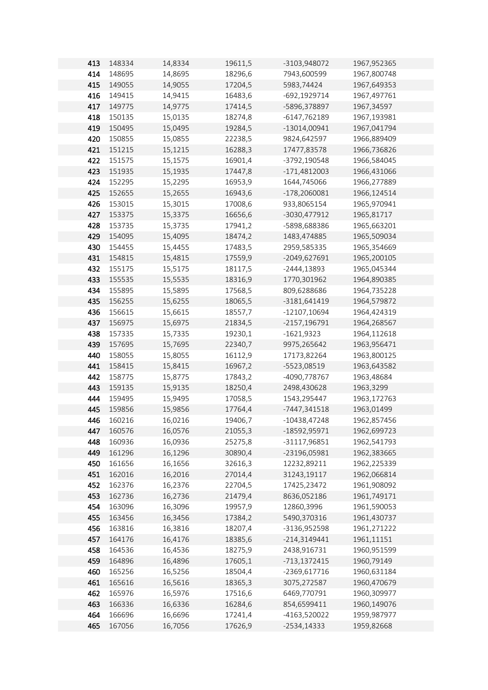| 413 | 148334 | 14,8334 | 19611,5 | -3103,948072   | 1967,952365 |
|-----|--------|---------|---------|----------------|-------------|
| 414 | 148695 | 14,8695 | 18296,6 | 7943,600599    | 1967,800748 |
| 415 | 149055 | 14,9055 | 17204,5 | 5983,74424     | 1967,649353 |
| 416 | 149415 | 14,9415 | 16483,6 | -692,1929714   | 1967,497761 |
| 417 | 149775 | 14,9775 | 17414,5 | -5896,378897   | 1967,34597  |
| 418 | 150135 | 15,0135 | 18274,8 | -6147,762189   | 1967,193981 |
| 419 | 150495 | 15,0495 | 19284,5 | -13014,00941   | 1967,041794 |
| 420 | 150855 | 15,0855 | 22238,5 | 9824,642597    | 1966,889409 |
| 421 | 151215 | 15,1215 | 16288,3 | 17477,83578    | 1966,736826 |
| 422 | 151575 | 15,1575 | 16901,4 | -3792,190548   | 1966,584045 |
| 423 | 151935 | 15,1935 | 17447,8 | $-171,4812003$ | 1966,431066 |
| 424 | 152295 | 15,2295 | 16953,9 | 1644,745066    | 1966,277889 |
| 425 | 152655 | 15,2655 | 16943,6 | -178,2060081   | 1966,124514 |
| 426 | 153015 | 15,3015 | 17008,6 | 933,8065154    | 1965,970941 |
| 427 | 153375 | 15,3375 | 16656,6 | -3030,477912   | 1965,81717  |
| 428 | 153735 | 15,3735 | 17941,2 | -5898,688386   | 1965,663201 |
| 429 | 154095 | 15,4095 | 18474,2 | 1483,474885    | 1965,509034 |
| 430 | 154455 | 15,4455 | 17483,5 | 2959,585335    | 1965,354669 |
| 431 | 154815 | 15,4815 | 17559,9 | -2049,627691   | 1965,200105 |
| 432 | 155175 | 15,5175 | 18117,5 | $-2444,13893$  | 1965,045344 |
| 433 | 155535 | 15,5535 | 18316,9 | 1770,301962    | 1964,890385 |
| 434 | 155895 | 15,5895 | 17568,5 | 809,6288686    | 1964,735228 |
| 435 | 156255 | 15,6255 | 18065,5 | -3181,641419   | 1964,579872 |
| 436 | 156615 | 15,6615 | 18557,7 | -12107,10694   | 1964,424319 |
| 437 | 156975 | 15,6975 | 21834,5 | -2157,196791   | 1964,268567 |
| 438 | 157335 | 15,7335 | 19230,1 | $-1621,9323$   | 1964,112618 |
| 439 | 157695 | 15,7695 | 22340,7 | 9975,265642    | 1963,956471 |
| 440 | 158055 | 15,8055 | 16112,9 | 17173,82264    | 1963,800125 |
| 441 | 158415 | 15,8415 | 16967,2 | -5523,08519    | 1963,643582 |
| 442 | 158775 | 15,8775 | 17843,2 | -4090,778767   | 1963,48684  |
| 443 | 159135 | 15,9135 | 18250,4 | 2498,430628    | 1963,3299   |
| 444 | 159495 | 15,9495 | 17058,5 | 1543,295447    | 1963,172763 |
| 445 | 159856 | 15,9856 | 17764,4 | -7447,341518   | 1963,01499  |
| 446 | 160216 | 16,0216 | 19406,7 | $-10438,47248$ | 1962,857456 |
| 447 | 160576 | 16,0576 | 21055,3 | -18592,95971   | 1962,699723 |
| 448 | 160936 | 16,0936 | 25275,8 | -31117,96851   | 1962,541793 |
| 449 | 161296 | 16,1296 | 30890,4 | -23196,05981   | 1962,383665 |
| 450 | 161656 | 16,1656 | 32616,3 | 12232,89211    | 1962,225339 |
| 451 | 162016 | 16,2016 | 27014,4 | 31243,19117    | 1962,066814 |
| 452 | 162376 | 16,2376 | 22704,5 | 17425,23472    | 1961,908092 |
| 453 | 162736 | 16,2736 | 21479,4 | 8636,052186    | 1961,749171 |
| 454 | 163096 | 16,3096 | 19957,9 | 12860,3996     | 1961,590053 |
| 455 | 163456 | 16,3456 | 17384,2 | 5490,370316    | 1961,430737 |
| 456 | 163816 | 16,3816 | 18207,4 | -3136,952598   | 1961,271222 |
| 457 | 164176 | 16,4176 | 18385,6 | -214,3149441   | 1961,11151  |
| 458 |        | 16,4536 |         | 2438,916731    |             |
| 459 | 164536 |         | 18275,9 |                | 1960,951599 |
|     | 164896 | 16,4896 | 17605,1 | -713,1372415   | 1960,79149  |
| 460 | 165256 | 16,5256 | 18504,4 | -2369,617716   | 1960,631184 |
| 461 | 165616 | 16,5616 | 18365,3 | 3075,272587    | 1960,470679 |
| 462 | 165976 | 16,5976 | 17516,6 | 6469,770791    | 1960,309977 |
| 463 | 166336 | 16,6336 | 16284,6 | 854,6599411    | 1960,149076 |
| 464 | 166696 | 16,6696 | 17241,4 | -4163,520022   | 1959,987977 |
| 465 | 167056 | 16,7056 | 17626,9 | $-2534,14333$  | 1959,82668  |